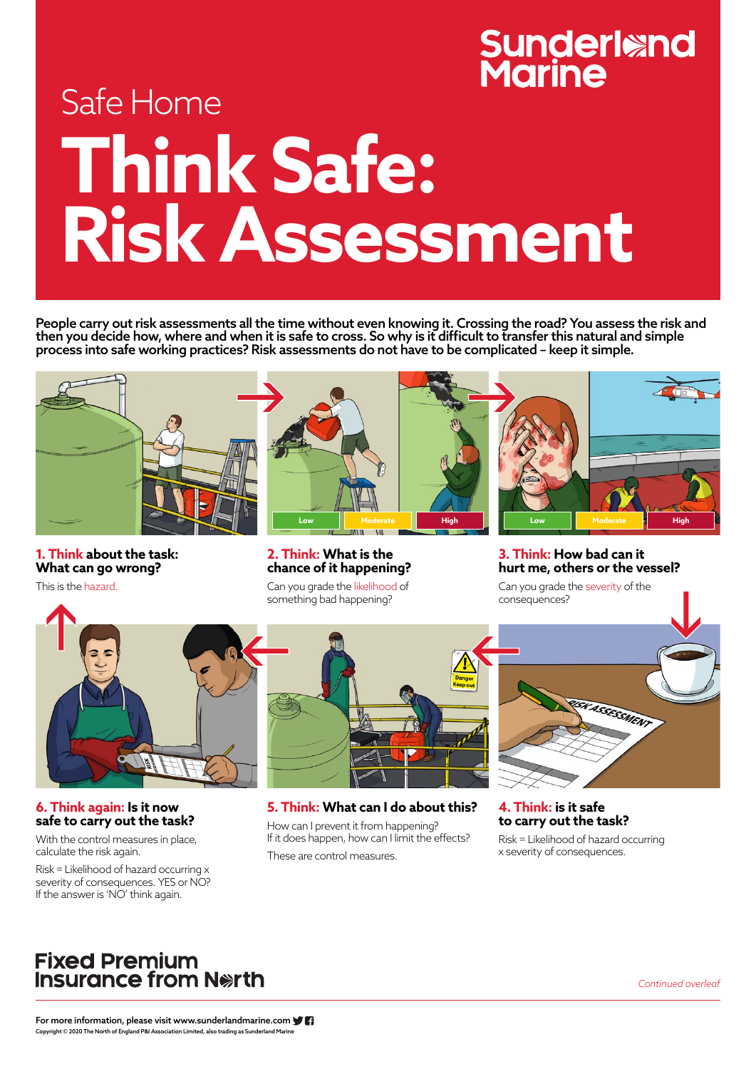For more information, please visit www.sunderlandmarine.com Copyright © 2020 The North of England P&I Association Limited, also trading as Sunderland Marine

# **Sunderland<br>Marine**

## Safe Home **Think Safe: Risk Assessment**

*Continued overleaf*

People carry out risk assessments all the time without even knowing it. Crossing the road? You assess the risk and then you decide how, where and when it is safe to cross. So why is it difficult to transfer this natural and simple process into safe working practices? Risk assessments do not have to be complicated – keep it simple.



**1. Think about the task: What can go wrong?**

This is the hazard.



**6. Think again: Is it now** 

#### **safe to carry out the task?**

With the control measures in place, calculate the risk again.

Risk = Likelihood of hazard occurring x severity of consequences. YES or NO? If the answer is 'NO' think again.

**2. Think: What is the chance of it happening?**

Can you grade the likelihood of something bad happening?

**5. Think: What can I do about this?**

How can I prevent it from happening? If it does happen, how can I limit the effects?

These are control measures.

**3. Think: How bad can it hurt me, others or the vessel?**

Can you grade the severity of the consequences?



**4. Think: is it safe** 

#### **to carry out the task?**

Risk = Likelihood of hazard occurring x severity of consequences.

### **Fixed Premium** Insurance from Nerth

![](_page_0_Picture_9.jpeg)